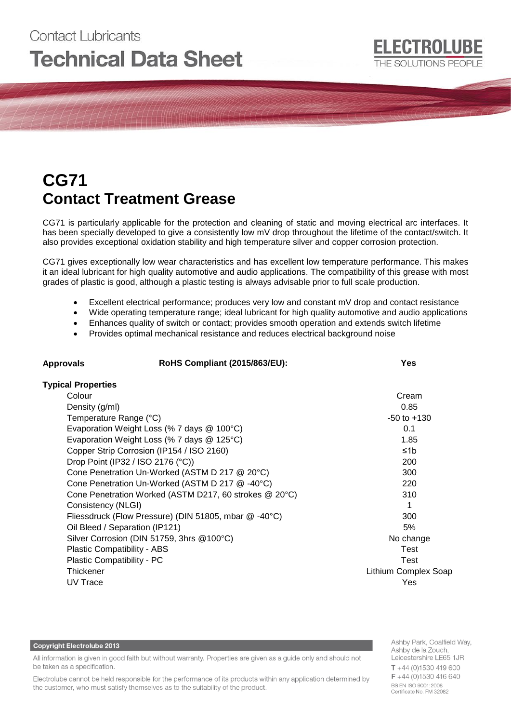# Contact Lubricants **Technical Data Sheet**

## **CG71 Contact Treatment Grease**

CG71 is particularly applicable for the protection and cleaning of static and moving electrical arc interfaces. It has been specially developed to give a consistently low mV drop throughout the lifetime of the contact/switch. It also provides exceptional oxidation stability and high temperature silver and copper corrosion protection.

CG71 gives exceptionally low wear characteristics and has excellent low temperature performance. This makes it an ideal lubricant for high quality automotive and audio applications. The compatibility of this grease with most grades of plastic is good, although a plastic testing is always advisable prior to full scale production.

- Excellent electrical performance; produces very low and constant mV drop and contact resistance
- Wide operating temperature range; ideal lubricant for high quality automotive and audio applications
- Enhances quality of switch or contact; provides smooth operation and extends switch lifetime
- Provides optimal mechanical resistance and reduces electrical background noise

**Approvals RoHS Compliant (2015/863/EU): Yes**

| <b>Typical Properties</b>                              |                             |
|--------------------------------------------------------|-----------------------------|
| Colour                                                 | Cream                       |
| Density (g/ml)                                         | 0.85                        |
| Temperature Range (°C)                                 | $-50$ to $+130$             |
| Evaporation Weight Loss (% 7 days @ 100°C)             | 0.1                         |
| Evaporation Weight Loss (% 7 days @ 125°C)             | 1.85                        |
| Copper Strip Corrosion (IP154 / ISO 2160)              | ≤1b                         |
| Drop Point (IP32 / ISO 2176 (°C))                      | 200                         |
| Cone Penetration Un-Worked (ASTM D 217 @ 20°C)         | 300                         |
| Cone Penetration Un-Worked (ASTM D 217 @ -40°C)        | 220                         |
| Cone Penetration Worked (ASTM D217, 60 strokes @ 20°C) | 310                         |
| Consistency (NLGI)                                     |                             |
| Fliessdruck (Flow Pressure) (DIN 51805, mbar @ -40°C)  | 300                         |
| Oil Bleed / Separation (IP121)                         | 5%                          |
| Silver Corrosion (DIN 51759, 3hrs @100°C)              | No change                   |
| Plastic Compatibility - ABS                            | Test                        |
| Plastic Compatibility - PC                             | Test                        |
| Thickener                                              | <b>Lithium Complex Soap</b> |
| UV Trace                                               | Yes                         |

#### **Copyright Electrolube 2013**

All information is given in good faith but without warranty. Properties are given as a guide only and should not be taken as a specification.

Electrolube cannot be held responsible for the performance of its products within any application determined by the customer, who must satisfy themselves as to the suitability of the product.

Ashby Park, Coalfield Way, Ashby de la Zouch, Leicestershire LE65 1JR  $T + 44$  (0)1530 419 600 F +44 (0)1530 416 640 BS EN ISO 9001:2008 Certificate No. FM 32082

**ELECTROLUBE** 

THE SOLUTIONS PEOPLE